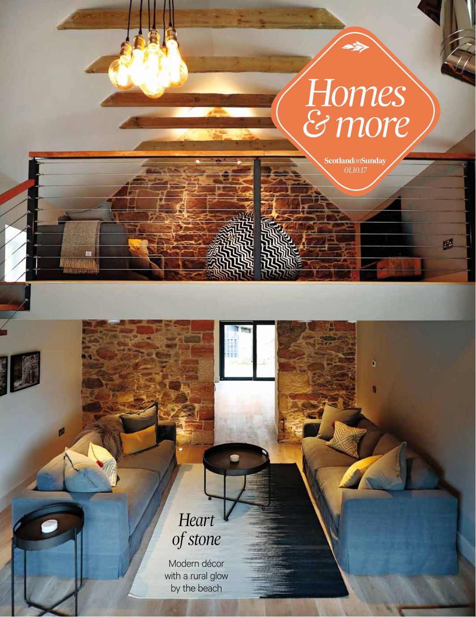## *Homes & more*

*01.10.17* **Scotland***on***Sunday**

ä

٥

54

### *Heart of stone*

Modern décor with a rural glow by the beach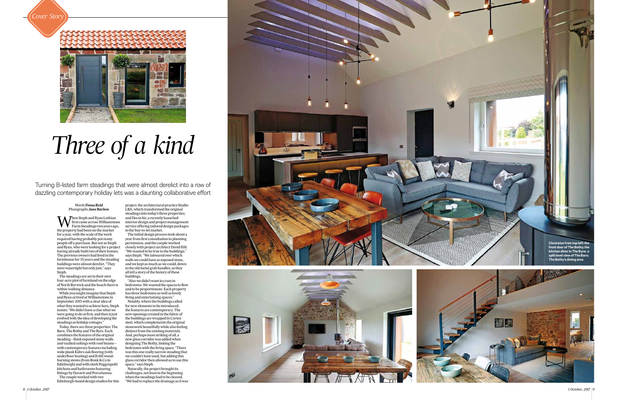Turning B-listed farm steadings that were almost derelict into a row of dazzling contemporary holiday lets was a daunting collaborative effort





# *Three of a kind*

**W** first came across Williamston<br>Farm Steadings two years age<br>the property had been on the market *first came across Williamstone Farm Steadings two years ago, the property had been on the market for a year, with the scale of the work required having probably put many people off a purchase. But not so Steph and Ryan, who were looking for a project having already built two of their homes. The previous owners had lived in the farmhouse for 35 years and the steading buildings were almost derelict. "They were watertight but only just," says Steph.* 

*The steadings are set in their own four-acre plot of farmland on the edge of North Berwick and the beach there is within walking distance.*

*While you might imagine that Steph and Ryan arrived at Williamstone in September 2015 with a clear idea of what they wanted to achieve here, Steph insists: "We didn't have a clue what we were going to do at first, and then it just evolved with the idea of developing the steadings as holiday cottages."* 

*Today, there are three properties: The Barn, The Bothy and The Byre. Each combines the features of the original steading – think exposed stone walls and vaulted ceilings with roof beams – with contemporary features including wide plank Kährs oak flooring (with underfloor heating) and RAIS woodburning stoves (from Bonk & Co in Edinburgh) and with sleek Poggenpohl kitchens and bathrooms featuring fittings by Duravit and Porcelanosa. The couple worked with two Edinburgh-based design studios for this* 

*project: the architectural practice Studio LBA, which transformed the original steadings into today's three properties; and DecorAir, a recently launched interior design and project management service offering tailored design packages to the buy-to-let market.*

*The initial design process took about a year from first consultation to planning permission, and the couple worked closely with project architect David Hill. "We wanted to be true to the buildings," says Steph. "We laboured over which walls we could have as exposed stone, and we kept as much as we could, down to the old metal grab handles, as they all tell a story of the history of these buildings.*

*"Also we didn't want to cram in bedrooms. We wanted the spaces to flow and to be proportionate. Each property has three bedrooms as well as lovely living and entertaining spaces."*

*Notably, where the buildings called for new elements to be introduced, the features are contemporary. The new openings created in the fabric of the buildings are wrapped in Corten steel, which complements the original stonework beautifully while also feeling distinct from the existing materials. And, perhaps most striking of all, a new glass corridor was added when designing The Bothy, linking the bedrooms with the living space. "There was this one really narrow steading that we couldn't have used, but adding this glass corridor then allowed us to use this space," says Steph.*

*Naturally, the project brought its challenges, not least in the beginning when the steadings had to be cleared. "We had to replace the drainage as it was* 

#### *Words Fiona Reid Photographs Jane Barlow*